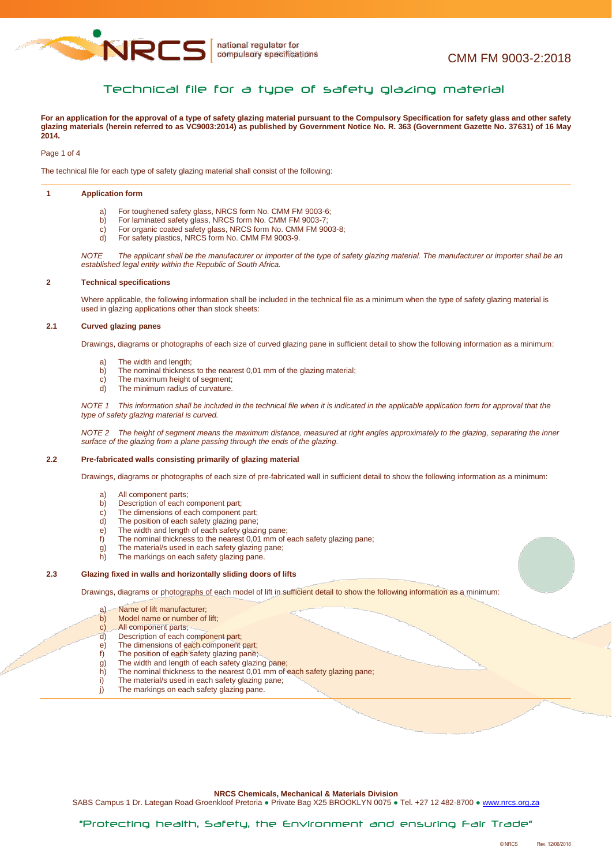

# Technical file for a type of safety glazing material

**For an application for the approval of a type of safety glazing material pursuant to the Compulsory Specification for safety glass and other safety glazing materials (herein referred to as VC9003:2014) as published by Government Notice No. R. 363 (Government Gazette No. 37631) of 16 May 2014.**

Page 1 of 4

The technical file for each type of safety glazing material shall consist of the following:

#### **1 Application form**

- a) For toughened safety glass, NRCS form No. CMM FM 9003-6;
- b) For laminated safety glass, NRCS form No. CMM FM 9003-7;<br>c) For organic coated safety glass, NRCS form No. CMM FM 90
- For organic coated safety glass, NRCS form No. CMM FM 9003-8;
- d) For safety plastics, NRCS form No. CMM FM 9003-9.

*NOTE The applicant shall be the manufacturer or importer of the type of safety glazing material. The manufacturer or importer shall be an established legal entity within the Republic of South Africa.*

#### **2 Technical specifications**

Where applicable, the following information shall be included in the technical file as a minimum when the type of safety glazing material is used in glazing applications other than stock sheets:

### **2.1 Curved glazing panes**

Drawings, diagrams or photographs of each size of curved glazing pane in sufficient detail to show the following information as a minimum:

- a) The width and length;
- b) The nominal thickness to the nearest 0,01 mm of the glazing material;<br>c) The maximum height of segment;
- The maximum height of segment:
- d) The minimum radius of curvature.

*NOTE 1 This information shall be included in the technical file when it is indicated in the applicable application form for approval that the type of safety glazing material is curved.*

*NOTE 2 The height of segment means the maximum distance, measured at right angles approximately to the glazing, separating the inner surface of the glazing from a plane passing through the ends of the glazing.*

### **2.2 Pre-fabricated walls consisting primarily of glazing material**

Drawings, diagrams or photographs of each size of pre-fabricated wall in sufficient detail to show the following information as a minimum:

- a) All component parts;<br>b) Description of each of
- Description of each component part;
- c) The dimensions of each component part;<br>d) The position of each safety glazing pane;
- The position of each safety glazing pane;
- e) The width and length of each safety glazing pane;<br>f) The nominal thickness to the nearest 0.01 mm of
- The nominal thickness to the nearest 0,01 mm of each safety glazing pane;
- g) The material/s used in each safety glazing pane;<br>h) The markings on each safety glazing pane.
- The markings on each safety glazing pane.

### **2.3 Glazing fixed in walls and horizontally sliding doors of lifts**

Drawings, diagrams or photographs of each model of lift in sufficient detail to show the following information as a minimum:

- a) Name of lift manufacturer;
- b) Model name or number of lift;
- c) All component parts;
- d) Description of each component part;
- e) The dimensions of each component part;
- f) The position of each safety glazing pane;
- 
- g) The width and length of each safety glazing pane;<br>h) The nominal thickness to the nearest 0,01 mm of h) The nominal thickness to the nearest 0,01 mm of each safety glazing pane;<br>i) The material/s used in each safety glazing pane:
- The material/s used in each safety glazing pane;
- j) The markings on each safety glazing pane.

#### **NRCS Chemicals, Mechanical & Materials Division**

SABS Campus 1 Dr. Lategan Road Groenkloof Pretoria · Private Bag X25 BROOKLYN 0075 · Tel. +27 12 482-8700 · [www.nrcs.org.za](http://www.nrcs.org.za/)

"Protecting health, Safety, the Environment and ensuring Fair Trade"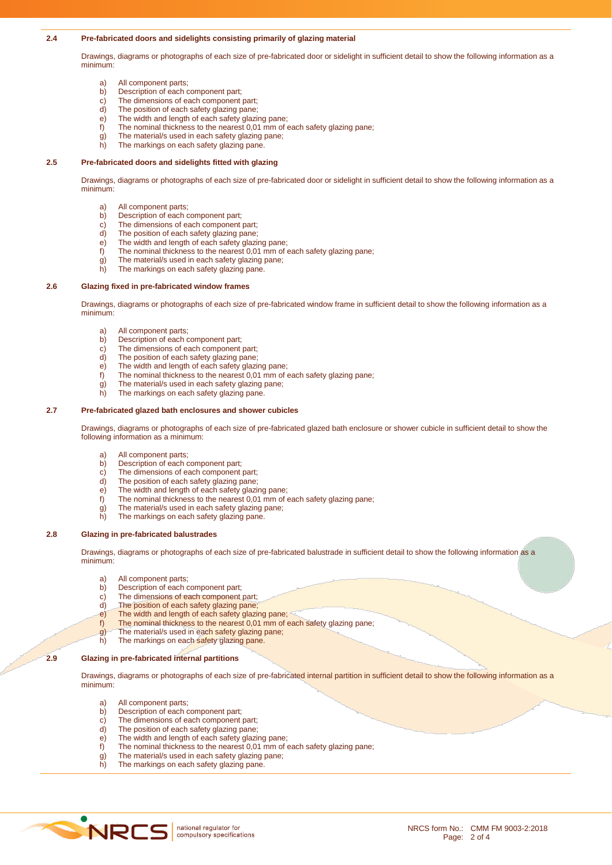### **2.4 Pre-fabricated doors and sidelights consisting primarily of glazing material**

Drawings, diagrams or photographs of each size of pre-fabricated door or sidelight in sufficient detail to show the following information as a minimum:

- a) All component parts;<br>b) Description of each of
- b) Description of each component part;<br>c) The dimensions of each component
- c) The dimensions of each component part;<br>d) The position of each safety glazing pane;
- d) The position of each safety glazing pane;<br>e) The width and length of each safety glazing
- e) The width and length of each safety glazing pane;<br>f) The nominal thickness to the nearest 0.01 mm of e
- The nominal thickness to the nearest 0,01 mm of each safety glazing pane;
- g) The material/s used in each safety glazing pane;
- h) The markings on each safety glazing pane.

## **2.5 Pre-fabricated doors and sidelights fitted with glazing**

Drawings, diagrams or photographs of each size of pre-fabricated door or sidelight in sufficient detail to show the following information as a minimum:

- a) All component parts;
- b) Description of each component part;<br>c) The dimensions of each component
- The dimensions of each component part;
- d) The position of each safety glazing pane;<br>e) The width and length of each safety glazing
- e) The width and length of each safety glazing pane;<br>f) The nominal thickness to the nearest 0,01 mm of  $\epsilon$
- The nominal thickness to the nearest 0,01 mm of each safety glazing pane;
- g) The material/s used in each safety glazing pane; h) The markings on each safety glazing pane.

## **2.6 Glazing fixed in pre-fabricated window frames**

Drawings, diagrams or photographs of each size of pre-fabricated window frame in sufficient detail to show the following information as a minimum:

- a) All component parts;<br>b) Description of each of
- b) Description of each component part;<br>c) The dimensions of each component
- The dimensions of each component part;
- d) The position of each safety glazing pane;
- e) The width and length of each safety glazing pane;
- f) The nominal thickness to the nearest 0,01 mm of each safety glazing pane;
- g) The material/s used in each safety glazing pane;
- h) The markings on each safety glazing pane.

# **2.7 Pre-fabricated glazed bath enclosures and shower cubicles**

Drawings, diagrams or photographs of each size of pre-fabricated glazed bath enclosure or shower cubicle in sufficient detail to show the following information as a minimum:

- a) All component parts;<br>b) Description of each of
- b) Description of each component part;<br>c) The dimensions of each component
- c) The dimensions of each component part;<br>d) The position of each safety glazing pane:
- The position of each safety glazing pane;
- e) The width and length of each safety glazing pane;<br>f) The nominal thickness to the nearest 0.01 mm of
- The nominal thickness to the nearest 0,01 mm of each safety glazing pane;
- g) The material/s used in each safety glazing pane; h) The markings on each safety glazing pane.
- **2.8 Glazing in pre-fabricated balustrades**

Drawings, diagrams or photographs of each size of pre-fabricated balustrade in sufficient detail to show the following information as a minimum:

- a) All component parts;<br>b) Description of each of
- Description of each component part;
- c) The dimensions of each component part;<br>d) The position of each safety glazing pane:
- The position of each safety glazing pane;
- e) The width and length of each safety glazing pane;<br>f) The nominal thickness to the nearest 0,01 mm of
- The nominal thickness to the nearest 0,01 mm of each safety glazing pane;
- $\frac{g}{g}$ ) The material/s used in each safety glazing pane;<br>b) The markings on each safety glazing pane.
- The markings on each safety glazing pane.

## **2.9 Glazing in pre-fabricated internal partitions**

Drawings, diagrams or photographs of each size of pre-fabricated internal partition in sufficient detail to show the following information as a minimum:

- a) All component parts;
- b) Description of each component part;
- c) The dimensions of each component part;
- d) The position of each safety glazing pane;
- e) The width and length of each safety glazing pane;<br>f) The nominal thickness to the nearest 0.01 mm of  $\epsilon$
- The nominal thickness to the nearest 0,01 mm of each safety glazing pane;
- g) The material/s used in each safety glazing pane;<br>h) The markings on each safety glazing pane.
- The markings on each safety glazing pane.

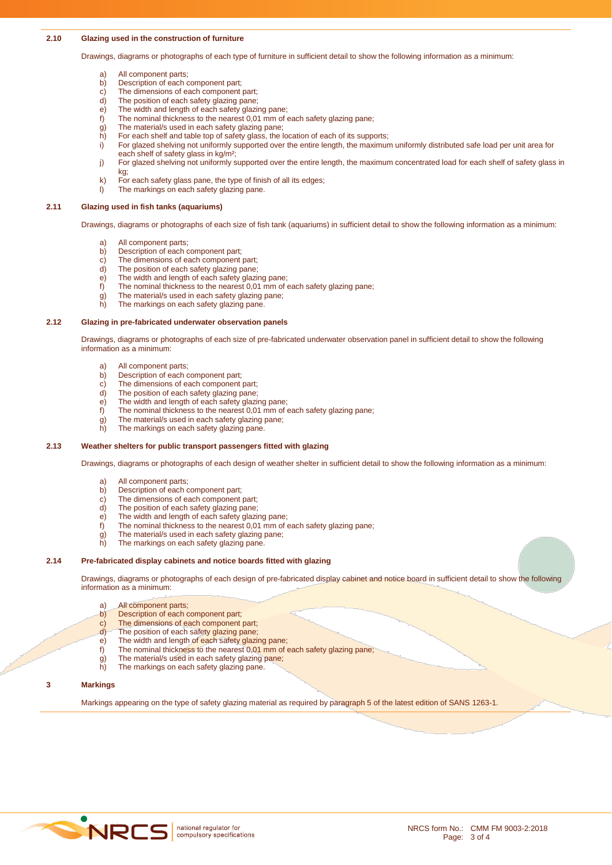### **2.10 Glazing used in the construction of furniture**

Drawings, diagrams or photographs of each type of furniture in sufficient detail to show the following information as a minimum:

- a) All component parts;<br>b) Description of each of
- b) Description of each component part;<br>c) The dimensions of each component
- c) The dimensions of each component part;<br>d) The position of each safety glazing pane:
- d) The position of each safety glazing pane;<br>e) The width and length of each safety glazing
- e) The width and length of each safety glazing pane;<br>f) The nominal thickness to the nearest 0,01 mm of
- The nominal thickness to the nearest 0,01 mm of each safety glazing pane;
- g) The material/s used in each safety glazing pane;
- h) For each shelf and table top of safety glass, the location of each of its supports;
- i) For glazed shelving not uniformly supported over the entire length, the maximum uniformly distributed safe load per unit area for each shelf of safety glass in kg/m²;
- j) For glazed shelving not uniformly supported over the entire length, the maximum concentrated load for each shelf of safety glass in kg;
- k) For each safety glass pane, the type of finish of all its edges;
- l) The markings on each safety glazing pane.

#### **2.11 Glazing used in fish tanks (aquariums)**

Drawings, diagrams or photographs of each size of fish tank (aquariums) in sufficient detail to show the following information as a minimum:

- a) All component parts;
- b) Description of each component part;
- c) The dimensions of each component part;
- d) The position of each safety glazing pane;
- e) The width and length of each safety glazing pane;
- f) The nominal thickness to the nearest 0,01 mm of each safety glazing pane;
- g) The material/s used in each safety glazing pane; h) The markings on each safety glazing pane.
- 

### **2.12 Glazing in pre-fabricated underwater observation panels**

Drawings, diagrams or photographs of each size of pre-fabricated underwater observation panel in sufficient detail to show the following information as a minimum:

- a) All component parts;
- b) Description of each component part;
- c) The dimensions of each component part;
- d) The position of each safety glazing pane;
- e) The width and length of each safety glazing pane;
- f) The nominal thickness to the nearest 0,01 mm of each safety glazing pane;
- g) The material/s used in each safety glazing pane;
- h) The markings on each safety glazing pane.

### **2.13 Weather shelters for public transport passengers fitted with glazing**

Drawings, diagrams or photographs of each design of weather shelter in sufficient detail to show the following information as a minimum:

- a) All component parts;
- b) Description of each component part;<br>c) The dimensions of each component
- The dimensions of each component part;
- d) The position of each safety glazing pane;
- e) The width and length of each safety glazing pane;
- f) The nominal thickness to the nearest 0,01 mm of each safety glazing pane;
- $\vec{g}$ ) The material/s used in each safety glazing pane;
- h) The markings on each safety glazing pane.

#### **2.14 Pre-fabricated display cabinets and notice boards fitted with glazing**

Drawings, diagrams or photographs of each design of pre-fabricated display cabinet and notice board in sufficient detail to show the following information as a minimum:

- a) All component parts;
- 
- b) Description of each component part;<br>c) The dimensions of each component The dimensions of each component part;
- d) The position of each safety glazing pane;
- e) The width and length of each safety glazing pane;
- f) The nominal thickness to the nearest 0,01 mm of each safety glazing pane;
- $\mathbf{g}$ ) The material/s used in each safety glazing pane;
- h) The markings on each safety glazing pane.

### **3 Markings**

Markings appearing on the type of safety glazing material as required by paragraph 5 of the latest edition of SANS 1263-1.